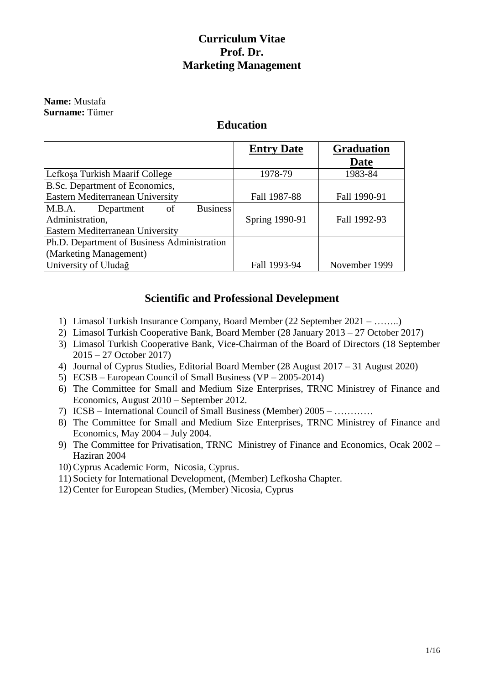### **Curriculum Vitae Prof. Dr. Marketing Management**

#### **Name:** Mustafa **Surname:** Tümer

### **Education**

|                                               | <b>Entry Date</b> | <b>Graduation</b> |
|-----------------------------------------------|-------------------|-------------------|
|                                               |                   | <b>Date</b>       |
| Lefkosa Turkish Maarif College                | 1978-79           | 1983-84           |
| B.Sc. Department of Economics,                |                   |                   |
| Eastern Mediterranean University              | Fall 1987-88      | Fall 1990-91      |
| <b>Business</b><br>M.B.A.<br>Department<br>of |                   |                   |
| Administration,                               | Spring 1990-91    | Fall 1992-93      |
| Eastern Mediterranean University              |                   |                   |
| Ph.D. Department of Business Administration   |                   |                   |
| (Marketing Management)                        |                   |                   |
| University of Uludağ                          | Fall 1993-94      | November 1999     |

### **Scientific and Professional Develepment**

- 1) Limasol Turkish Insurance Company, Board Member (22 September 2021 ……..)
- 2) Limasol Turkish Cooperative Bank, Board Member (28 January 2013 27 October 2017)
- 3) Limasol Turkish Cooperative Bank, Vice-Chairman of the Board of Directors (18 September 2015 – 27 October 2017)
- 4) Journal of Cyprus Studies, Editorial Board Member (28 August 2017 31 August 2020)
- 5) ECSB European Council of Small Business (VP 2005-2014)
- 6) The Committee for Small and Medium Size Enterprises, TRNC Ministrey of Finance and Economics, August 2010 – September 2012.
- 7) ICSB International Council of Small Business (Member) 2005 …………
- 8) The Committee for Small and Medium Size Enterprises, TRNC Ministrey of Finance and Economics, May 2004 – July 2004.
- 9) The Committee for Privatisation, TRNC Ministrey of Finance and Economics, Ocak 2002 Haziran 2004
- 10) Cyprus Academic Form, Nicosia, Cyprus.
- 11) Society for International Development, (Member) Lefkosha Chapter.
- 12) Center for European Studies, (Member) Nicosia, Cyprus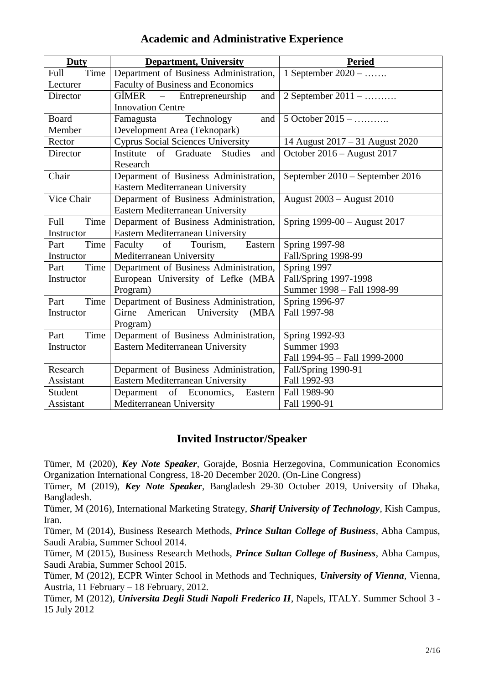| <b>Duty</b>  | <b>Department, University</b>                     | <b>Peried</b>                    |
|--------------|---------------------------------------------------|----------------------------------|
| Time<br>Full | Department of Business Administration,            | 1 September 2020 –               |
| Lecturer     | Faculty of Business and Economics                 |                                  |
| Director     | Entrepreneurship<br>$GIMER$ –<br>and              | 2 September 2011 –               |
|              | <b>Innovation Centre</b>                          |                                  |
| Board        | Technology<br>Famagusta<br>and                    | 5 October 2015 –                 |
| Member       | Development Area (Teknopark)                      |                                  |
| Rector       | <b>Cyprus Social Sciences University</b>          | 14 August 2017 – 31 August 2020  |
| Director     | <b>Studies</b><br>Institute<br>of Graduate<br>and | October 2016 – August 2017       |
|              | Research                                          |                                  |
| Chair        | Deparment of Business Administration,             | September 2010 – September 2016  |
|              | Eastern Mediterranean University                  |                                  |
| Vice Chair   | Deparment of Business Administration,             | <b>August 2003 – August 2010</b> |
|              | Eastern Mediterranean University                  |                                  |
| Full<br>Time | Deparment of Business Administration,             | Spring 1999-00 - August 2017     |
| Instructor   | Eastern Mediterranean University                  |                                  |
| Time<br>Part | of<br>Faculty<br>Tourism,<br>Eastern              | Spring 1997-98                   |
| Instructor   | Mediterranean University                          | Fall/Spring 1998-99              |
| Time<br>Part | Department of Business Administration,            | Spring 1997                      |
| Instructor   | European University of Lefke (MBA                 | Fall/Spring 1997-1998            |
|              | Program)                                          | Summer 1998 - Fall 1998-99       |
| Time<br>Part | Department of Business Administration,            | Spring 1996-97                   |
| Instructor   | Girne<br>American<br>University<br>(MBA           | Fall 1997-98                     |
|              | Program)                                          |                                  |
| Time<br>Part | Deparment of Business Administration,             | Spring 1992-93                   |
| Instructor   | Eastern Mediterranean University                  | Summer 1993                      |
|              |                                                   | Fall 1994-95 - Fall 1999-2000    |
| Research     | Deparment of Business Administration,             | Fall/Spring 1990-91              |
| Assistant    | Eastern Mediterranean University                  | Fall 1992-93                     |
| Student      | Deparment<br>of Economics,<br>Eastern             | Fall 1989-90                     |
| Assistant    | Mediterranean University                          | Fall 1990-91                     |

### **Academic and Administrative Experience**

### **Invited Instructor/Speaker**

Tümer, M (2020), *Key Note Speaker*, Gorajde, Bosnia Herzegovina, Communication Economics Organization International Congress, 18-20 December 2020. (On-Line Congress)

Tümer, M (2019), *Key Note Speaker*, Bangladesh 29-30 October 2019, University of Dhaka, Bangladesh.

Tümer, M (2016), International Marketing Strategy, *Sharif University of Technology*, Kish Campus, Iran.

Tümer, M (2014), Business Research Methods, *Prince Sultan College of Business*, Abha Campus, Saudi Arabia, Summer School 2014.

Tümer, M (2015), Business Research Methods, *Prince Sultan College of Business*, Abha Campus, Saudi Arabia, Summer School 2015.

Tümer, M (2012), ECPR Winter School in Methods and Techniques, *University of Vienna*, Vienna, Austria, 11 February – 18 February, 2012.

Tümer, M (2012), *Universita Degli Studi Napoli Frederico II*, Napels, ITALY. Summer School 3 - 15 July 2012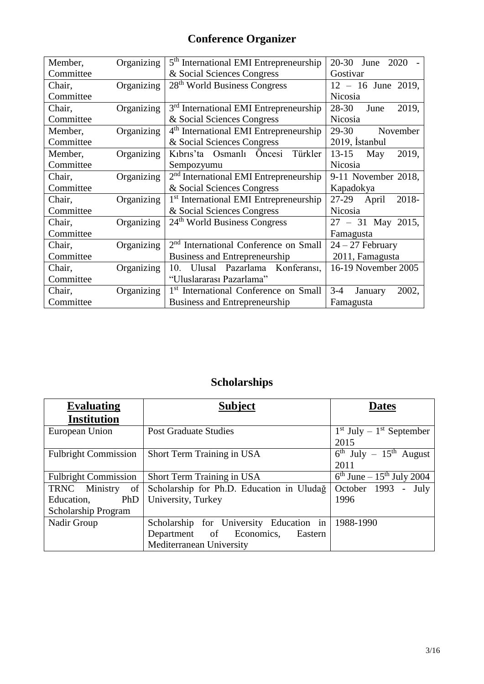# **Conference Organizer**

| Member,   | Organizing | 5 <sup>th</sup> International EMI Entrepreneurship | $20 - 30$<br>2020<br>June |
|-----------|------------|----------------------------------------------------|---------------------------|
| Committee |            | & Social Sciences Congress                         | Gostivar                  |
| Chair,    | Organizing | 28 <sup>th</sup> World Business Congress           | $12 - 16$ June 2019,      |
| Committee |            |                                                    | <b>Nicosia</b>            |
| Chair,    | Organizing | 3 <sup>rd</sup> International EMI Entrepreneurship | 28-30<br>2019,<br>June    |
| Committee |            | & Social Sciences Congress                         | Nicosia                   |
| Member,   | Organizing | 4 <sup>th</sup> International EMI Entrepreneurship | 29-30<br>November         |
| Committee |            | & Social Sciences Congress                         | 2019, İstanbul            |
| Member,   | Organizing | Kıbrıs'ta Osmanlı Öncesi Türkler                   | $13 - 15$<br>2019,<br>May |
| Committee |            | Sempozyumu                                         | Nicosia                   |
| Chair,    | Organizing | $2nd$ International EMI Entrepreneurship           | 9-11 November 2018,       |
| Committee |            | & Social Sciences Congress                         | Kapadokya                 |
| Chair,    | Organizing | 1 <sup>st</sup> International EMI Entrepreneurship | $27-29$ April<br>2018-    |
| Committee |            | & Social Sciences Congress                         | Nicosia                   |
| Chair,    | Organizing | 24 <sup>th</sup> World Business Congress           | $27 - 31$ May 2015,       |
| Committee |            |                                                    | Famagusta                 |
| Chair,    | Organizing | 2 <sup>nd</sup> International Conference on Small  | $24 - 27$ February        |
| Committee |            | Business and Entrepreneurship                      | 2011, Famagusta           |
| Chair,    | Organizing | 10.<br>Ulusal Pazarlama<br>Konferansi,             | 16-19 November 2005       |
| Committee |            | "Uluslararası Pazarlama"                           |                           |
| Chair,    | Organizing | 1 <sup>st</sup> International Conference on Small  | $3-4$<br>January<br>2002, |
| Committee |            | Business and Entrepreneurship                      | Famagusta                 |

# **Scholarships**

| <b>Evaluating</b>           | <b>Subject</b>                            | <b>Dates</b>                     |
|-----------------------------|-------------------------------------------|----------------------------------|
| <b>Institution</b>          |                                           |                                  |
| European Union              | <b>Post Graduate Studies</b>              | $1st$ July – $1st$ September     |
|                             |                                           | 2015                             |
| <b>Fulbright Commission</b> | Short Term Training in USA                | $6^{th}$ July - $15^{th}$ August |
|                             |                                           | 2011                             |
| Fulbright Commission        | Short Term Training in USA                | $6th$ June – $15th$ July 2004    |
| TRNC Ministry of            | Scholarship for Ph.D. Education in Uludağ | October 1993 -<br>July           |
| Education,<br>PhD           | University, Turkey                        | 1996                             |
| Scholarship Program         |                                           |                                  |
| Nadir Group                 | Scholarship for University Education in   | 1988-1990                        |
|                             | Department of Economics,<br>Eastern       |                                  |
|                             | Mediterranean University                  |                                  |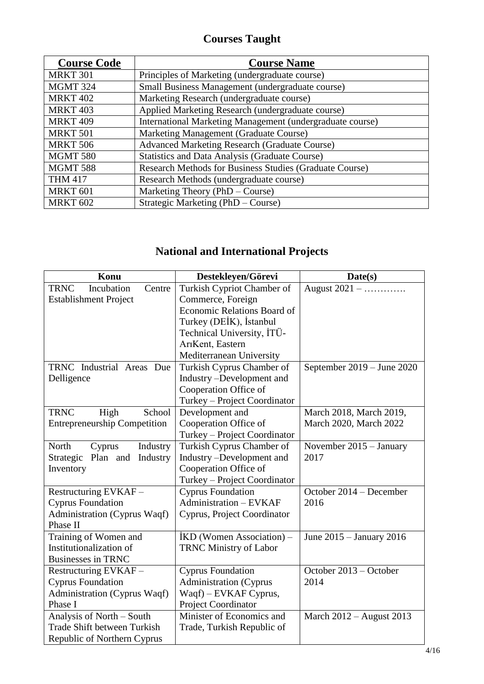# **Courses Taught**

| <b>Course Code</b> | <b>Course Name</b>                                        |
|--------------------|-----------------------------------------------------------|
| <b>MRKT 301</b>    | Principles of Marketing (undergraduate course)            |
| <b>MGMT 324</b>    | Small Business Management (undergraduate course)          |
| <b>MRKT 402</b>    | Marketing Research (undergraduate course)                 |
| <b>MRKT 403</b>    | Applied Marketing Research (undergraduate course)         |
| <b>MRKT 409</b>    | International Marketing Management (undergraduate course) |
| <b>MRKT 501</b>    | Marketing Management (Graduate Course)                    |
| <b>MRKT 506</b>    | <b>Advanced Marketing Research (Graduate Course)</b>      |
| <b>MGMT 580</b>    | <b>Statistics and Data Analysis (Graduate Course)</b>     |
| <b>MGMT 588</b>    | Research Methods for Business Studies (Graduate Course)   |
| <b>THM 417</b>     | Research Methods (undergraduate course)                   |
| <b>MRKT 601</b>    | Marketing Theory (PhD – Course)                           |
| <b>MRKT 602</b>    | Strategic Marketing (PhD – Course)                        |

# **National and International Projects**

| Konu                                | Destekleyen/Görevi            | Date(s)                    |
|-------------------------------------|-------------------------------|----------------------------|
| Incubation<br><b>TRNC</b><br>Centre | Turkish Cypriot Chamber of    | August 2021 –              |
| <b>Establishment Project</b>        | Commerce, Foreign             |                            |
|                                     | Economic Relations Board of   |                            |
|                                     | Turkey (DEİK), İstanbul       |                            |
|                                     | Technical University, ITÜ-    |                            |
|                                     | ArıKent, Eastern              |                            |
|                                     | Mediterranean University      |                            |
| TRNC Industrial Areas Due           | Turkish Cyprus Chamber of     | September 2019 – June 2020 |
| Delligence                          | Industry -Development and     |                            |
|                                     | Cooperation Office of         |                            |
|                                     | Turkey - Project Coordinator  |                            |
| <b>TRNC</b><br>School<br>High       | Development and               | March 2018, March 2019,    |
| <b>Entrepreneurship Competition</b> | Cooperation Office of         | March 2020, March 2022     |
|                                     | Turkey - Project Coordinator  |                            |
| North<br>Industry<br>Cyprus         | Turkish Cyprus Chamber of     | November $2015 - January$  |
| Industry<br>Strategic<br>Plan and   | Industry -Development and     | 2017                       |
| Inventory                           | Cooperation Office of         |                            |
|                                     | Turkey - Project Coordinator  |                            |
| Restructuring EVKAF-                | <b>Cyprus Foundation</b>      | October 2014 - December    |
| <b>Cyprus Foundation</b>            | Administration - EVKAF        | 2016                       |
| Administration (Cyprus Waqf)        | Cyprus, Project Coordinator   |                            |
| Phase II                            |                               |                            |
| Training of Women and               | IKD (Women Association) –     | June 2015 – January 2016   |
| Institutionalization of             | <b>TRNC Ministry of Labor</b> |                            |
| <b>Businesses in TRNC</b>           |                               |                            |
| Restructuring EVKAF-                | <b>Cyprus Foundation</b>      | October 2013 - October     |
| <b>Cyprus Foundation</b>            | <b>Administration</b> (Cyprus | 2014                       |
| Administration (Cyprus Waqf)        | Waqf) – EVKAF Cyprus,         |                            |
| Phase I                             | Project Coordinator           |                            |
| Analysis of North - South           | Minister of Economics and     | March $2012 -$ August 2013 |
| <b>Trade Shift between Turkish</b>  | Trade, Turkish Republic of    |                            |
| Republic of Northern Cyprus         |                               |                            |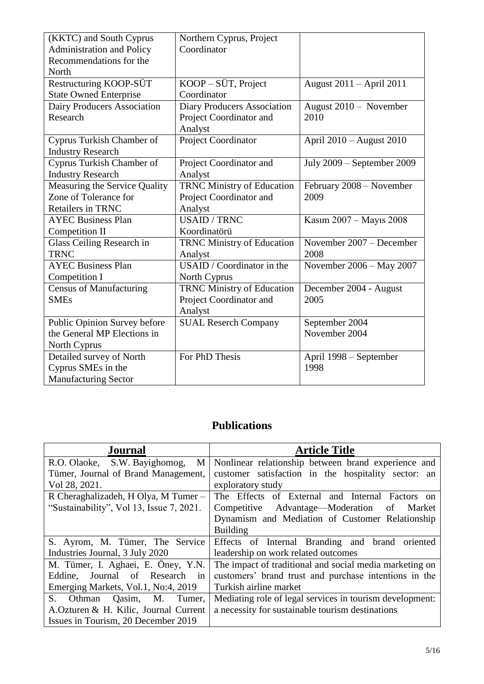| (KKTC) and South Cyprus          | Northern Cyprus, Project           |                            |
|----------------------------------|------------------------------------|----------------------------|
| <b>Administration and Policy</b> | Coordinator                        |                            |
| Recommendations for the          |                                    |                            |
| North                            |                                    |                            |
| Restructuring KOOP-SÜT           | $KOOP-S\ddot{U}T$ , Project        | August 2011 – April 2011   |
| <b>State Owned Enterprise</b>    | Coordinator                        |                            |
| Dairy Producers Association      | <b>Diary Producers Association</b> | August 2010 - November     |
| Research                         | Project Coordinator and            | 2010                       |
|                                  | Analyst                            |                            |
| Cyprus Turkish Chamber of        | Project Coordinator                | April 2010 - August 2010   |
| <b>Industry Research</b>         |                                    |                            |
| Cyprus Turkish Chamber of        | Project Coordinator and            | July 2009 - September 2009 |
| <b>Industry Research</b>         | Analyst                            |                            |
| Measuring the Service Quality    | <b>TRNC Ministry of Education</b>  | February 2008 - November   |
| Zone of Tolerance for            | Project Coordinator and            | 2009                       |
| Retailers in TRNC                | Analyst                            |                            |
| <b>AYEC Business Plan</b>        | <b>USAID / TRNC</b>                | Kasım 2007 - Mayıs 2008    |
| <b>Competition II</b>            | Koordinatörü                       |                            |
| Glass Ceiling Research in        | <b>TRNC Ministry of Education</b>  | November 2007 - December   |
| <b>TRNC</b>                      | Analyst                            | 2008                       |
| <b>AYEC Business Plan</b>        | USAID / Coordinator in the         | November 2006 - May 2007   |
| Competition I                    | North Cyprus                       |                            |
| <b>Census of Manufacturing</b>   | TRNC Ministry of Education         | December 2004 - August     |
| <b>SMEs</b>                      | Project Coordinator and            | 2005                       |
|                                  | Analyst                            |                            |
| Public Opinion Survey before     | <b>SUAL Reserch Company</b>        | September 2004             |
| the General MP Elections in      |                                    | November 2004              |
| North Cyprus                     |                                    |                            |
| Detailed survey of North         | For PhD Thesis                     | April 1998 – September     |
| Cyprus SMEs in the               |                                    | 1998                       |
| <b>Manufacturing Sector</b>      |                                    |                            |

## **Publications**

| <b>Journal</b>                                            | <b>Article Title</b>                                     |
|-----------------------------------------------------------|----------------------------------------------------------|
| R.O. Olaoke, S.W. Bayighomog,<br>M                        | Nonlinear relationship between brand experience and      |
| Tümer, Journal of Brand Management,                       | customer satisfaction in the hospitality sector: an      |
| Vol 28, 2021.                                             | exploratory study                                        |
| R Cheraghalizadeh, H Olya, M Tumer -                      | The Effects of External and Internal Factors on          |
| "Sustainability", Vol 13, Issue 7, 2021.                  | Competitive Advantage—Moderation<br>- of<br>Market       |
|                                                           | Dynamism and Mediation of Customer Relationship          |
|                                                           | <b>Building</b>                                          |
| S. Ayrom, M. Tümer, The Service                           | Effects of Internal Branding and brand oriented          |
| Industries Journal, 3 July 2020                           | leadership on work related outcomes                      |
| M. Tümer, I. Aghaei, E. Öney, Y.N.                        | The impact of traditional and social media marketing on  |
| Journal of Research<br>Eddine,<br>$\overline{\mathbf{m}}$ | customers' brand trust and purchase intentions in the    |
| Emerging Markets, Vol.1, No:4, 2019                       | Turkish airline market                                   |
| $S_{\cdot}$<br>Othman Qasim, M. Tumer,                    | Mediating role of legal services in tourism development: |
| A.Ozturen & H. Kilic, Journal Current                     | a necessity for sustainable tourism destinations         |
| Issues in Tourism, 20 December 2019                       |                                                          |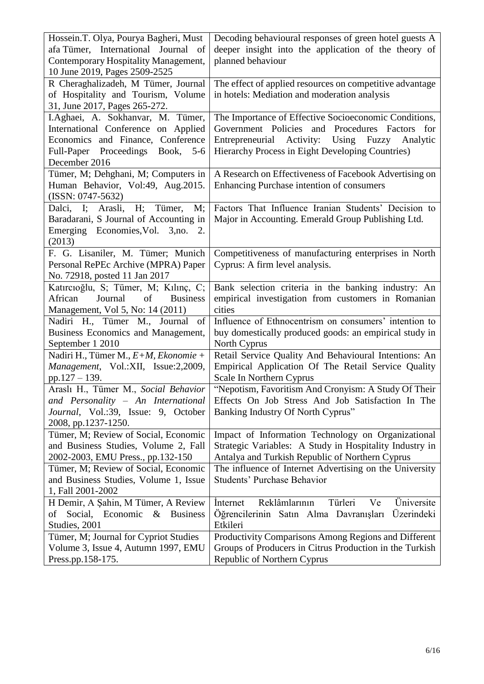| Hossein.T. Olya, Pourya Bagheri, Must                                                  | Decoding behavioural responses of green hotel guests A     |
|----------------------------------------------------------------------------------------|------------------------------------------------------------|
| afa Tümer, International Journal of                                                    | deeper insight into the application of the theory of       |
| Contemporary Hospitality Management,                                                   | planned behaviour                                          |
| 10 June 2019, Pages 2509-2525                                                          |                                                            |
| R Cheraghalizadeh, M Tümer, Journal                                                    | The effect of applied resources on competitive advantage   |
| of Hospitality and Tourism, Volume                                                     | in hotels: Mediation and moderation analysis               |
| 31, June 2017, Pages 265-272.                                                          |                                                            |
| I.Aghaei, A. Sokhanvar, M. Tümer,                                                      | The Importance of Effective Socioeconomic Conditions,      |
| International Conference on Applied                                                    | Government Policies and Procedures Factors<br>for          |
| Economics and Finance, Conference                                                      | Entrepreneurial<br>Activity:<br>Using<br>Fuzzy<br>Analytic |
| Full-Paper Proceedings Book, 5-6                                                       | Hierarchy Process in Eight Developing Countries)           |
| December 2016                                                                          |                                                            |
| Tümer, M; Dehghani, M; Computers in                                                    | A Research on Effectiveness of Facebook Advertising on     |
| Human Behavior, Vol:49, Aug.2015.                                                      | Enhancing Purchase intention of consumers                  |
| $(ISSN: 0747-5632)$<br>Dalci,<br>$\mathbf{I}$ ;<br>Arasli,<br>H <sub>1</sub><br>Tümer, | Factors That Influence Iranian Students' Decision to       |
| M;<br>Baradarani, S Journal of Accounting in                                           | Major in Accounting. Emerald Group Publishing Ltd.         |
| Emerging Economies, Vol. 3, no. 2.                                                     |                                                            |
| (2013)                                                                                 |                                                            |
| F. G. Lisaniler, M. Tümer; Munich                                                      | Competitiveness of manufacturing enterprises in North      |
| Personal RePEc Archive (MPRA) Paper                                                    | Cyprus: A firm level analysis.                             |
| No. 72918, posted 11 Jan 2017                                                          |                                                            |
| Katırcıoğlu, S; Tümer, M; Kılınç, C;                                                   | Bank selection criteria in the banking industry: An        |
| Journal<br>African<br>of<br><b>Business</b>                                            | empirical investigation from customers in Romanian         |
| Management, Vol 5, No: 14 (2011)                                                       | cities                                                     |
| Nadiri H., Tümer M., Journal<br>- of                                                   | Influence of Ethnocentrism on consumers' intention to      |
| Business Economics and Management,                                                     | buy domestically produced goods: an empirical study in     |
| September 1 2010                                                                       | North Cyprus                                               |
| Nadiri H., Tümer M., E+M, Ekonomie +                                                   | Retail Service Quality And Behavioural Intentions: An      |
| Management, Vol.:XII, Issue:2,2009,                                                    | Empirical Application Of The Retail Service Quality        |
| pp.127 $-$ 139.                                                                        | Scale In Northern Cyprus                                   |
| Araslı H., Tümer M., Social Behavior                                                   | "Nepotism, Favoritism And Cronyism: A Study Of Their       |
| and Personality - An International                                                     | Effects On Job Stress And Job Satisfaction In The          |
| Journal, Vol.:39, Issue: 9, October                                                    | Banking Industry Of North Cyprus"                          |
| 2008, pp.1237-1250.<br>Tümer, M; Review of Social, Economic                            | Impact of Information Technology on Organizational         |
| and Business Studies, Volume 2, Fall                                                   | Strategic Variables: A Study in Hospitality Industry in    |
| 2002-2003, EMU Press., pp.132-150                                                      | Antalya and Turkish Republic of Northern Cyprus            |
| Tümer, M; Review of Social, Economic                                                   | The influence of Internet Advertising on the University    |
| and Business Studies, Volume 1, Issue                                                  | <b>Students' Purchase Behavior</b>                         |
| 1, Fall 2001-2002                                                                      |                                                            |
| H Demir, A Şahin, M Tümer, A Review                                                    | Reklâmlarının<br>Türleri<br>Üniversite<br>Internet<br>Ve   |
| Social, Economic<br><b>Business</b><br>$\&$<br>of                                      | Öğrencilerinin Satın Alma Davranışları<br>Üzerindeki       |
| Studies, 2001                                                                          | Etkileri                                                   |
| Tümer, M; Journal for Cypriot Studies                                                  | Productivity Comparisons Among Regions and Different       |
| Volume 3, Issue 4, Autumn 1997, EMU                                                    | Groups of Producers in Citrus Production in the Turkish    |
| Press.pp.158-175.                                                                      | Republic of Northern Cyprus                                |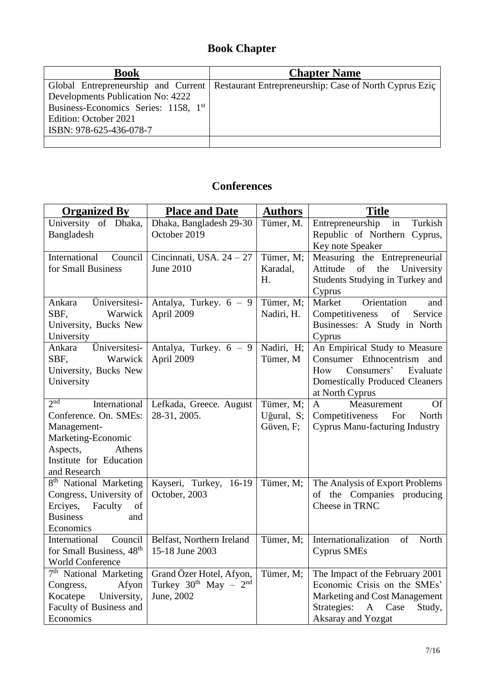## **Book Chapter**

| <b>Book</b>                                      | <b>Chapter Name</b>                                                                          |
|--------------------------------------------------|----------------------------------------------------------------------------------------------|
|                                                  | Global Entrepreneurship and Current   Restaurant Entrepreneurship: Case of North Cyprus Ezic |
| Developments Publication No: 4222                |                                                                                              |
| Business-Economics Series: 1158, 1 <sup>st</sup> |                                                                                              |
| Edition: October 2021                            |                                                                                              |
| ISBN: 978-625-436-078-7                          |                                                                                              |
|                                                  |                                                                                              |

## **Conferences**

| <b>Organized By</b>                                                                                                                                             | <b>Place and Date</b>                                                     | <b>Authors</b>                       | <b>Title</b>                                                                                                                                                            |
|-----------------------------------------------------------------------------------------------------------------------------------------------------------------|---------------------------------------------------------------------------|--------------------------------------|-------------------------------------------------------------------------------------------------------------------------------------------------------------------------|
| University of Dhaka,<br>Bangladesh                                                                                                                              | Dhaka, Bangladesh 29-30<br>October 2019                                   | Tümer, M.                            | Entrepreneurship<br>in<br>Turkish<br>Republic of Northern Cyprus,                                                                                                       |
| International Council<br>for Small Business                                                                                                                     | Cincinnati, USA. $24 - 27$<br><b>June 2010</b>                            | Tümer, M;<br>Karadal,<br>H.          | Key note Speaker<br>Measuring the Entrepreneurial<br>Attitude<br>of<br>the<br>University<br>Students Studying in Turkey and<br>Cyprus                                   |
| Üniversitesi-<br>Ankara<br>SBF,<br>Warwick<br>University, Bucks New<br>University                                                                               | Antalya, Turkey. $6 - 9$<br>April 2009                                    | Tümer, M;<br>Nadiri, H.              | Market<br>Orientation<br>and<br>Competitiveness<br>of<br>Service<br>Businesses: A Study in North<br>Cyprus                                                              |
| Üniversitesi-<br>Ankara<br>SBF,<br>Warwick<br>University, Bucks New<br>University                                                                               | Antalya, Turkey. $6 - 9$<br>April 2009                                    | Nadiri, H;<br>Tümer, M               | An Empirical Study to Measure<br>Consumer Ethnocentrism and<br>Consumers'<br>Evaluate<br>How<br><b>Domestically Produced Cleaners</b><br>at North Cyprus                |
| 2 <sub>nd</sub><br>International<br>Conference. On. SMEs:<br>Management-<br>Marketing-Economic<br>Aspects,<br>Athens<br>Institute for Education<br>and Research | Lefkada, Greece. August<br>28-31, 2005.                                   | Tümer, M;<br>Uğural, S;<br>Güven, F; | <b>Of</b><br>$\mathbf{A}$<br>Measurement<br>Competitiveness For<br>North<br><b>Cyprus Manu-facturing Industry</b>                                                       |
| 8 <sup>th</sup> National Marketing<br>Congress, University of<br>Erciyes, Faculty<br>of<br><b>Business</b><br>and<br>Economics                                  | Kayseri, Turkey, 16-19<br>October, 2003                                   | Tümer, M;                            | The Analysis of Export Problems<br>of the Companies producing<br>Cheese in TRNC                                                                                         |
| Council<br>International<br>for Small Business, 48 <sup>th</sup><br>World Conference                                                                            | Belfast, Northern Ireland<br>15-18 June 2003                              | Tümer, M;                            | Internationalization<br>of<br>North<br><b>Cyprus SMEs</b>                                                                                                               |
| 7 <sup>th</sup> National Marketing<br>Afyon<br>Congress,<br>University,<br>Kocatepe<br>Faculty of Business and<br>Economics                                     | Grand Özer Hotel, Afyon,<br>Turkey $30^{th}$ May - $2^{nd}$<br>June, 2002 | Tümer, M;                            | The Impact of the February 2001<br>Economic Crisis on the SMEs'<br>Marketing and Cost Management<br>Strategies:<br>Case<br>Study,<br>$\mathbf{A}$<br>Aksaray and Yozgat |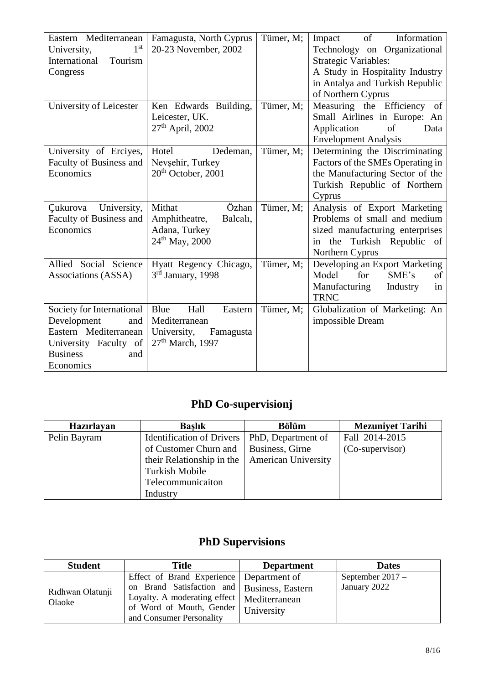| Eastern Mediterranean<br>1 <sup>st</sup><br>University,<br>International<br>Tourism<br>Congress<br>University of Leicester               | Famagusta, North Cyprus<br>20-23 November, 2002<br>Ken Edwards Building,                       | Tümer, M;<br>Tümer, M; | $\sigma$ of<br>Information<br>Impact<br>Technology on Organizational<br><b>Strategic Variables:</b><br>A Study in Hospitality Industry<br>in Antalya and Turkish Republic<br>of Northern Cyprus<br>Measuring the Efficiency of |
|------------------------------------------------------------------------------------------------------------------------------------------|------------------------------------------------------------------------------------------------|------------------------|--------------------------------------------------------------------------------------------------------------------------------------------------------------------------------------------------------------------------------|
|                                                                                                                                          | Leicester, UK.<br>$27th$ April, 2002                                                           |                        | Small Airlines in Europe: An<br>Application<br>of<br>Data<br><b>Envelopment Analysis</b>                                                                                                                                       |
| University of Erciyes,<br>Faculty of Business and<br>Economics                                                                           | Hotel<br>Dedeman,<br>Nevşehir, Turkey<br>20 <sup>th</sup> October, 2001                        | Tümer, M;              | Determining the Discriminating<br>Factors of the SMEs Operating in<br>the Manufacturing Sector of the<br>Turkish Republic of Northern<br>Cyprus                                                                                |
| University,<br>Cukurova<br>Faculty of Business and<br>Economics                                                                          | Mithat<br>Özhan<br>Amphitheatre,<br>Balcal <sub>1</sub> ,<br>Adana, Turkey<br>$24th$ May, 2000 | Tümer, M;              | Analysis of Export Marketing<br>Problems of small and medium<br>sized manufacturing enterprises<br>the Turkish Republic of<br>in<br>Northern Cyprus                                                                            |
| Allied Social Science<br>Associations (ASSA)                                                                                             | Hyatt Regency Chicago,<br>3rd January, 1998                                                    | Tümer, M;              | Developing an Export Marketing<br>SME's<br>Model<br>for<br>of<br>Manufacturing<br>Industry<br>in<br><b>TRNC</b>                                                                                                                |
| Society for International<br>Development<br>and<br>Eastern Mediterranean<br>University Faculty of<br><b>Business</b><br>and<br>Economics | Blue<br>Hall<br>Eastern<br>Mediterranean<br>University,<br>Famagusta<br>$27th$ March, 1997     | Tümer, M;              | Globalization of Marketing: An<br>impossible Dream                                                                                                                                                                             |

### **PhD Co-supervisionj**

| Hazırlayan   | <b>Baslik</b>                    | <b>Bölüm</b>               | <b>Mezuniyet Tarihi</b> |
|--------------|----------------------------------|----------------------------|-------------------------|
| Pelin Bayram | <b>Identification of Drivers</b> | PhD, Department of         | Fall 2014-2015          |
|              | of Customer Churn and            | Business, Girne            | (Co-supervisor)         |
|              | their Relationship in the        | <b>American University</b> |                         |
|              | Turkish Mobile                   |                            |                         |
|              | Telecommunicaiton                |                            |                         |
|              | Industry                         |                            |                         |

# **PhD Supervisions**

| <b>Student</b>   | <b>Title</b>                                  | <b>Department</b> | <b>Dates</b>     |
|------------------|-----------------------------------------------|-------------------|------------------|
|                  | Effect of Brand Experience   Department of    |                   | September 2017 - |
| Ridhwan Olatunji | on Brand Satisfaction and   Business, Eastern |                   | January 2022     |
| Olaoke           | Loyalty. A moderating effect   Mediterranean  |                   |                  |
|                  | of Word of Mouth, Gender                      | University        |                  |
|                  | and Consumer Personality                      |                   |                  |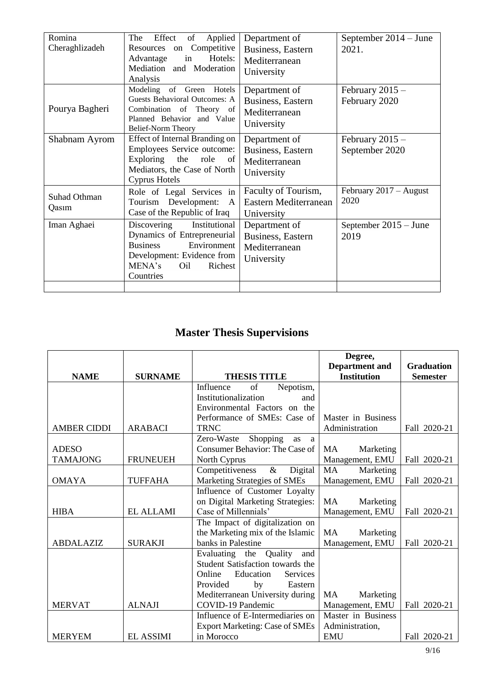| Romina              | The<br>Effect<br>Applied<br>of                                   | Department of         | September 2014 – June    |
|---------------------|------------------------------------------------------------------|-----------------------|--------------------------|
| Cheraghlizadeh      | Resources on Competitive                                         | Business, Eastern     | 2021.                    |
|                     | Hotels:<br>in<br>Advantage                                       | Mediterranean         |                          |
|                     | Mediation and Moderation                                         | University            |                          |
|                     | Analysis                                                         |                       |                          |
|                     | Modeling of Green Hotels                                         | Department of         | February $2015 -$        |
| Pourya Bagheri      | <b>Guests Behavioral Outcomes: A</b><br>Combination of Theory of | Business, Eastern     | February 2020            |
|                     | Planned Behavior and Value                                       | Mediterranean         |                          |
|                     | Belief-Norm Theory                                               | University            |                          |
| Shabnam Ayrom       | Effect of Internal Branding on                                   | Department of         | February $2015 -$        |
|                     | Employees Service outcome:                                       | Business, Eastern     | September 2020           |
|                     | Exploring the role<br>of                                         | Mediterranean         |                          |
|                     | Mediators, the Case of North                                     | University            |                          |
|                     | Cyprus Hotels                                                    |                       |                          |
| <b>Suhad Othman</b> | Role of Legal Services in                                        | Faculty of Tourism,   | February $2017 -$ August |
| Qasım               | Tourism Development:<br>$\mathbf{A}$                             | Eastern Mediterranean | 2020                     |
|                     | Case of the Republic of Iraq                                     | University            |                          |
| Iman Aghaei         | Institutional<br>Discovering                                     | Department of         | September $2015 -$ June  |
|                     | Dynamics of Entrepreneurial                                      | Business, Eastern     | 2019                     |
|                     | <b>Business</b><br>Environment                                   | Mediterranean         |                          |
|                     | Development: Evidence from                                       | University            |                          |
|                     | MENA's<br>Oil<br>Richest                                         |                       |                          |
|                     | Countries                                                        |                       |                          |
|                     |                                                                  |                       |                          |

## **Master Thesis Supervisions**

|                    |                  |                                              | Degree,                |                   |
|--------------------|------------------|----------------------------------------------|------------------------|-------------------|
|                    |                  |                                              | <b>Department</b> and  | <b>Graduation</b> |
| <b>NAME</b>        | <b>SURNAME</b>   | <b>THESIS TITLE</b>                          | <b>Institution</b>     | <b>Semester</b>   |
|                    |                  | Nepotism,<br>Influence<br>of                 |                        |                   |
|                    |                  | Institutionalization<br>and                  |                        |                   |
|                    |                  | Environmental Factors on the                 |                        |                   |
|                    |                  | Performance of SMEs: Case of                 | Master in Business     |                   |
| <b>AMBER CIDDI</b> | <b>ARABACI</b>   | <b>TRNC</b>                                  | Administration         | Fall 2020-21      |
|                    |                  | Shopping<br>Zero-Waste<br>as<br><sub>a</sub> |                        |                   |
| <b>ADESO</b>       |                  | Consumer Behavior: The Case of               | <b>MA</b><br>Marketing |                   |
| <b>TAMAJONG</b>    | <b>FRUNEUEH</b>  | North Cyprus                                 | Management, EMU        | Fall 2020-21      |
|                    |                  | $\&$<br>Competitiveness<br>Digital           | <b>MA</b><br>Marketing |                   |
| <b>OMAYA</b>       | <b>TUFFAHA</b>   | Marketing Strategies of SMEs                 | Management, EMU        | Fall 2020-21      |
|                    |                  | Influence of Customer Loyalty                |                        |                   |
|                    |                  | on Digital Marketing Strategies:             | <b>MA</b><br>Marketing |                   |
| <b>HIBA</b>        | <b>EL ALLAMI</b> | Case of Millennials'                         | Management, EMU        | Fall 2020-21      |
|                    |                  | The Impact of digitalization on              |                        |                   |
|                    |                  | the Marketing mix of the Islamic             | <b>MA</b><br>Marketing |                   |
| <b>ABDALAZIZ</b>   | <b>SURAKJI</b>   | banks in Palestine                           | Management, EMU        | Fall 2020-21      |
|                    |                  | Quality<br>Evaluating the<br>and             |                        |                   |
|                    |                  | Student Satisfaction towards the             |                        |                   |
|                    |                  | Education<br>Online<br><b>Services</b>       |                        |                   |
|                    |                  | Provided<br>by<br>Eastern                    |                        |                   |
|                    |                  | Mediterranean University during              | MA<br>Marketing        |                   |
| <b>MERVAT</b>      | <b>ALNAJI</b>    | COVID-19 Pandemic                            | Management, EMU        | Fall 2020-21      |
|                    |                  | Influence of E-Intermediaries on             | Master in Business     |                   |
|                    |                  | <b>Export Marketing: Case of SMEs</b>        | Administration,        |                   |
| <b>MERYEM</b>      | <b>EL ASSIMI</b> | in Morocco                                   | <b>EMU</b>             | Fall 2020-21      |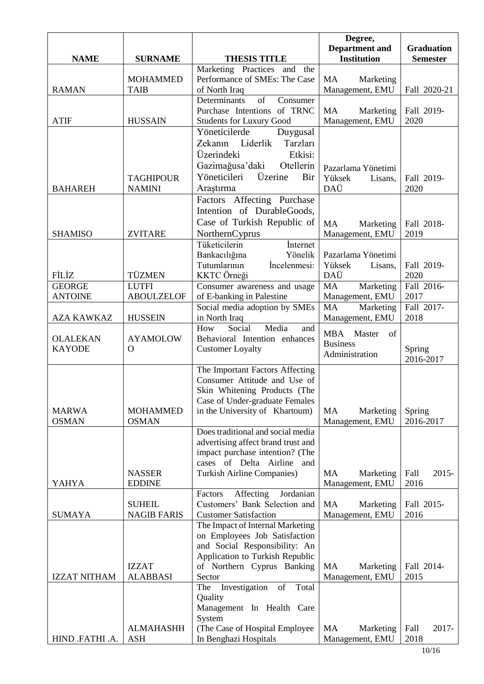|                     |                                     |                                                                                                  | Degree,<br><b>Department</b> and          | <b>Graduation</b>   |
|---------------------|-------------------------------------|--------------------------------------------------------------------------------------------------|-------------------------------------------|---------------------|
| <b>NAME</b>         | <b>SURNAME</b>                      | <b>THESIS TITLE</b>                                                                              | <b>Institution</b>                        | <b>Semester</b>     |
|                     |                                     | Marketing Practices and the                                                                      |                                           |                     |
|                     | <b>MOHAMMED</b>                     | Performance of SMEs: The Case                                                                    | <b>MA</b><br>Marketing                    |                     |
| <b>RAMAN</b>        | <b>TAIB</b>                         | of North Iraq                                                                                    | Management, EMU                           | Fall 2020-21        |
| <b>ATIF</b>         | <b>HUSSAIN</b>                      | Determinants<br>of<br>Consumer<br>Purchase Intentions of TRNC<br><b>Students for Luxury Good</b> | <b>MA</b><br>Marketing<br>Management, EMU | Fall 2019-<br>2020  |
|                     |                                     | Yöneticilerde<br>Duygusal                                                                        |                                           |                     |
|                     |                                     | Tarzları<br>Zekanın Liderlik                                                                     |                                           |                     |
|                     |                                     | Üzerindeki<br>Etkisi:                                                                            |                                           |                     |
|                     |                                     | Gazimağusa'daki<br>Otellerin                                                                     | Pazarlama Yönetimi                        |                     |
|                     | <b>TAGHIPOUR</b>                    | Yöneticileri<br>Üzerine<br>Bir                                                                   | Yüksek<br>Lisans,                         | Fall 2019-          |
| <b>BAHAREH</b>      | <b>NAMINI</b>                       | Araştırma                                                                                        | DAÜ                                       | 2020                |
|                     |                                     | Factors Affecting Purchase                                                                       |                                           |                     |
|                     |                                     | Intention of DurableGoods,                                                                       |                                           |                     |
|                     |                                     | Case of Turkish Republic of                                                                      | <b>MA</b><br>Marketing                    | Fall 2018-          |
| <b>SHAMISO</b>      | <b>ZVITARE</b>                      | NorthernCyprus                                                                                   | Management, EMU                           | 2019                |
|                     |                                     | Tüketicilerin<br>İnternet                                                                        |                                           |                     |
|                     |                                     | Bankacılığına<br>Yönelik<br>İncelenmesi:<br>Tutumlarının                                         | Pazarlama Yönetimi                        |                     |
| FİLİZ               | TÜZMEN                              | KKTC Örneği                                                                                      | Yüksek<br>Lisans,<br>DAÜ                  | Fall 2019-<br>2020  |
| <b>GEORGE</b>       | <b>LUTFI</b>                        | Consumer awareness and usage                                                                     | MA<br>Marketing                           | Fall 2016-          |
| <b>ANTOINE</b>      | <b>ABOULZELOF</b>                   | of E-banking in Palestine                                                                        | Management, EMU                           | 2017                |
|                     |                                     | Social media adoption by SMEs                                                                    | <b>MA</b><br>Marketing                    | Fall 2017-          |
| <b>AZA KAWKAZ</b>   | <b>HUSSEIN</b>                      | in North Iraq                                                                                    | Management, EMU                           | 2018                |
|                     |                                     | Media<br>How<br>Social<br>and                                                                    | Master<br>of<br><b>MBA</b>                |                     |
| <b>OLALEKAN</b>     | <b>AYAMOLOW</b>                     | Behavioral Intention enhances                                                                    | <b>Business</b>                           |                     |
| <b>KAYODE</b>       | $\Omega$                            | <b>Customer Loyalty</b>                                                                          | Administration                            | Spring<br>2016-2017 |
|                     |                                     | The Important Factors Affecting                                                                  |                                           |                     |
|                     |                                     | Consumer Attitude and Use of                                                                     |                                           |                     |
|                     |                                     | Skin Whitening Products (The                                                                     |                                           |                     |
|                     |                                     | Case of Under-graduate Females                                                                   |                                           |                     |
| <b>MARWA</b>        | <b>MOHAMMED</b>                     | in the University of Khartoum)                                                                   | MA<br>Marketing                           | Spring              |
| <b>OSMAN</b>        | <b>OSMAN</b>                        | Does traditional and social media                                                                | Management, EMU                           | 2016-2017           |
|                     |                                     | advertising affect brand trust and                                                               |                                           |                     |
|                     |                                     | impact purchase intention? (The                                                                  |                                           |                     |
|                     |                                     | cases of Delta Airline and                                                                       |                                           |                     |
|                     | <b>NASSER</b>                       | <b>Turkish Airline Companies)</b>                                                                | MA<br>Marketing                           | Fall<br>$2015 -$    |
| <b>YAHYA</b>        | <b>EDDINE</b>                       |                                                                                                  | Management, EMU                           | 2016                |
|                     |                                     | Affecting<br>Factors<br>Jordanian                                                                |                                           |                     |
| <b>SUMAYA</b>       | <b>SUHEIL</b><br><b>NAGIB FARIS</b> | Customers' Bank Selection and<br><b>Customer Satisfaction</b>                                    | MA<br>Marketing<br>Management, EMU        | Fall 2015-<br>2016  |
|                     |                                     | The Impact of Internal Marketing                                                                 |                                           |                     |
|                     |                                     | on Employees Job Satisfaction                                                                    |                                           |                     |
|                     |                                     | and Social Responsibility: An                                                                    |                                           |                     |
|                     |                                     | Application to Turkish Republic                                                                  |                                           |                     |
|                     | <b>IZZAT</b>                        | of Northern Cyprus Banking                                                                       | MA<br>Marketing                           | Fall 2014-          |
| <b>IZZAT NITHAM</b> | <b>ALABBASI</b>                     | Sector<br>Total<br>Investigation<br>of                                                           | Management, EMU                           | 2015                |
|                     |                                     | The<br>Quality                                                                                   |                                           |                     |
|                     |                                     | Management In Health Care                                                                        |                                           |                     |
|                     |                                     | System                                                                                           |                                           |                     |
|                     | <b>ALMAHASHH</b>                    | (The Case of Hospital Employee)                                                                  | <b>MA</b><br>Marketing                    | Fall<br>2017-       |
| HIND .FATHI .A.     | <b>ASH</b>                          | In Benghazi Hospitals                                                                            | Management, EMU                           | 2018                |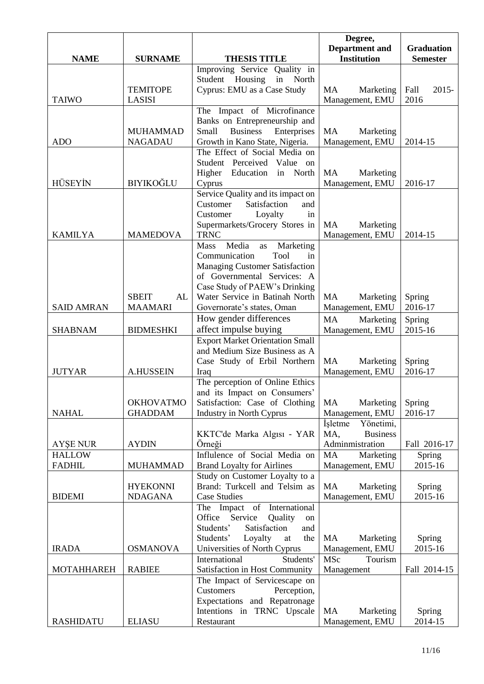|                   |                    |                                                            | Degree,                                     |                                      |
|-------------------|--------------------|------------------------------------------------------------|---------------------------------------------|--------------------------------------|
| <b>NAME</b>       | <b>SURNAME</b>     | <b>THESIS TITLE</b>                                        | <b>Department</b> and<br><b>Institution</b> | <b>Graduation</b><br><b>Semester</b> |
|                   |                    | Improving Service Quality in                               |                                             |                                      |
|                   |                    | Student Housing<br>in<br>North                             |                                             |                                      |
|                   | <b>TEMITOPE</b>    | Cyprus: EMU as a Case Study                                | <b>MA</b><br>Marketing                      | Fall<br>$2015 -$                     |
| <b>TAIWO</b>      | LASISI             |                                                            | Management, EMU                             | 2016                                 |
|                   |                    | The Impact of Microfinance                                 |                                             |                                      |
|                   |                    | Banks on Entrepreneurship and                              |                                             |                                      |
|                   | <b>MUHAMMAD</b>    | <b>Business</b><br>Enterprises<br>Small                    | MA<br>Marketing                             |                                      |
| <b>ADO</b>        | <b>NAGADAU</b>     | Growth in Kano State, Nigeria.                             | Management, EMU                             | 2014-15                              |
|                   |                    | The Effect of Social Media on                              |                                             |                                      |
|                   |                    | Student Perceived Value on                                 |                                             |                                      |
| <b>HÜSEYİN</b>    | BIYIKOĞLU          | Higher<br>Education<br>in North<br>Cyprus                  | MA<br>Marketing<br>Management, EMU          | 2016-17                              |
|                   |                    | Service Quality and its impact on                          |                                             |                                      |
|                   |                    | Satisfaction<br>Customer<br>and                            |                                             |                                      |
|                   |                    | Customer<br>Loyalty<br>in                                  |                                             |                                      |
|                   |                    | Supermarkets/Grocery Stores in                             | MA<br>Marketing                             |                                      |
| <b>KAMILYA</b>    | <b>MAMEDOVA</b>    | <b>TRNC</b>                                                | Management, EMU                             | 2014-15                              |
|                   |                    | Media<br><b>Mass</b><br>Marketing<br>as                    |                                             |                                      |
|                   |                    | Communication<br>Tool<br>in                                |                                             |                                      |
|                   |                    | <b>Managing Customer Satisfaction</b>                      |                                             |                                      |
|                   |                    | of Governmental Services: A                                |                                             |                                      |
|                   |                    | Case Study of PAEW's Drinking                              |                                             |                                      |
|                   | <b>SBEIT</b><br>AL | Water Service in Batinah North                             | MA<br>Marketing                             | Spring                               |
| <b>SAID AMRAN</b> | <b>MAAMARI</b>     | Governorate's states, Oman                                 | Management, EMU                             | 2016-17                              |
|                   |                    | How gender differences                                     | MA<br>Marketing                             | Spring                               |
| <b>SHABNAM</b>    | <b>BIDMESHKI</b>   | affect impulse buying                                      | Management, EMU                             | 2015-16                              |
|                   |                    | <b>Export Market Orientation Small</b>                     |                                             |                                      |
|                   |                    | and Medium Size Business as A                              |                                             |                                      |
| <b>JUTYAR</b>     | <b>A.HUSSEIN</b>   | Case Study of Erbil Northern<br>Iraq                       | MA<br>Marketing<br>Management, EMU          | Spring<br>2016-17                    |
|                   |                    | The perception of Online Ethics                            |                                             |                                      |
|                   |                    | and its Impact on Consumers'                               |                                             |                                      |
|                   | <b>OKHOVATMO</b>   | Satisfaction: Case of Clothing                             | MA<br>Marketing                             | Spring                               |
| <b>NAHAL</b>      | <b>GHADDAM</b>     | <b>Industry in North Cyprus</b>                            | Management, EMU                             | 2016-17                              |
|                   |                    |                                                            | Yönetimi,<br><i>i</i> sletme                |                                      |
|                   |                    | KKTC'de Marka Algısı - YAR                                 | MA,<br><b>Business</b>                      |                                      |
| <b>AYSE NUR</b>   | <b>AYDIN</b>       | Örneği                                                     | Adminmistration                             | Fall 2016-17                         |
| <b>HALLOW</b>     |                    | Influlence of Social Media on                              | MA<br>Marketing                             | Spring                               |
| <b>FADHIL</b>     | <b>MUHAMMAD</b>    | <b>Brand Loyalty for Airlines</b>                          | Management, EMU                             | 2015-16                              |
|                   |                    | Study on Customer Loyalty to a                             |                                             |                                      |
|                   | <b>HYEKONNI</b>    | Brand: Turkcell and Telsim as                              | MA<br>Marketing                             | Spring                               |
| <b>BIDEMI</b>     | <b>NDAGANA</b>     | <b>Case Studies</b>                                        | Management, EMU                             | 2015-16                              |
|                   |                    | The Impact of International                                |                                             |                                      |
|                   |                    | Office Service<br>Quality<br>on                            |                                             |                                      |
|                   |                    | Satisfaction<br>Students'<br>and<br>Students'<br>the<br>at | MA                                          |                                      |
| <b>IRADA</b>      | <b>OSMANOVA</b>    | Loyalty<br>Universities of North Cyprus                    | Marketing<br>Management, EMU                | Spring<br>2015-16                    |
|                   |                    | Students'<br>International                                 | Tourism<br><b>MSc</b>                       |                                      |
| <b>MOTAHHAREH</b> | <b>RABIEE</b>      | Satisfaction in Host Community                             | Management                                  | Fall 2014-15                         |
|                   |                    | The Impact of Servicescape on                              |                                             |                                      |
|                   |                    | Customers<br>Perception,                                   |                                             |                                      |
|                   |                    | Expectations and Repatronage                               |                                             |                                      |
|                   |                    | Intentions in TRNC Upscale                                 | MA<br>Marketing                             | Spring                               |
| <b>RASHIDATU</b>  | <b>ELIASU</b>      | Restaurant                                                 | Management, EMU                             | 2014-15                              |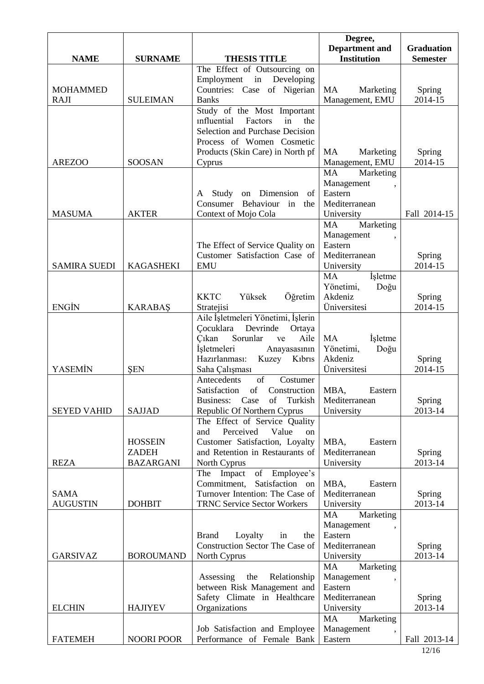|                     |                   |                                                                     | Degree,<br><b>Department</b> and | <b>Graduation</b> |
|---------------------|-------------------|---------------------------------------------------------------------|----------------------------------|-------------------|
| <b>NAME</b>         | <b>SURNAME</b>    | <b>THESIS TITLE</b>                                                 | <b>Institution</b>               | <b>Semester</b>   |
|                     |                   | The Effect of Outsourcing on                                        |                                  |                   |
|                     |                   | in Developing<br>Employment                                         |                                  |                   |
| <b>MOHAMMED</b>     |                   | Countries: Case of Nigerian                                         | <b>MA</b><br>Marketing           | Spring            |
| <b>RAJI</b>         | <b>SULEIMAN</b>   | <b>Banks</b>                                                        | Management, EMU                  | 2014-15           |
|                     |                   | Study of the Most Important<br>influential<br>Factors<br>in<br>the  |                                  |                   |
|                     |                   | Selection and Purchase Decision                                     |                                  |                   |
|                     |                   | Process of Women Cosmetic                                           |                                  |                   |
|                     |                   | Products (Skin Care) in North pf                                    | MA<br>Marketing                  | Spring            |
| <b>AREZOO</b>       | <b>SOOSAN</b>     | Cyprus                                                              | Management, EMU                  | 2014-15           |
|                     |                   |                                                                     | Marketing<br>MA                  |                   |
|                     |                   |                                                                     | Management<br>Eastern            |                   |
|                     |                   | on Dimension<br>A Study<br>of<br>Consumer<br>Behaviour<br>in<br>the | Mediterranean                    |                   |
| <b>MASUMA</b>       | <b>AKTER</b>      | Context of Mojo Cola                                                | University                       | Fall 2014-15      |
|                     |                   |                                                                     | <b>MA</b><br>Marketing           |                   |
|                     |                   |                                                                     | Management                       |                   |
|                     |                   | The Effect of Service Quality on                                    | Eastern                          |                   |
|                     |                   | Customer Satisfaction Case of                                       | Mediterranean                    | Spring            |
| <b>SAMIRA SUEDI</b> | <b>KAGASHEKI</b>  | <b>EMU</b>                                                          | University<br>MA                 | 2014-15           |
|                     |                   |                                                                     | İşletme<br>Yönetimi,<br>Doğu     |                   |
|                     |                   | Öğretim<br><b>KKTC</b><br>Yüksek                                    | Akdeniz                          | Spring            |
| <b>ENGIN</b>        | <b>KARABAŞ</b>    | Stratejisi                                                          | <b>Üniversitesi</b>              | 2014-15           |
|                     |                   | Aile İşletmeleri Yönetimi, İşlerin                                  |                                  |                   |
|                     |                   | Cocuklara Devrinde<br>Ortaya                                        |                                  |                   |
|                     |                   | Sorunlar<br>C <sub>1</sub> kan<br>Aile<br>ve                        | <b>MA</b><br><i>i</i> sletme     |                   |
|                     |                   | İşletmeleri<br>Anayasasının                                         | Yönetimi,<br>Doğu                |                   |
| YASEMİN             | <b>SEN</b>        | Hazırlanması:<br>Kuzey<br>Kıbrıs<br>Saha Çalışması                  | Akdeniz<br>Üniversitesi          | Spring<br>2014-15 |
|                     |                   | Antecedents<br>of<br>Costumer                                       |                                  |                   |
|                     |                   | of<br>Satisfaction<br>Construction                                  | MBA,<br>Eastern                  |                   |
|                     |                   | Turkish<br>Business:<br>Case<br>of                                  | Mediterranean                    | Spring            |
| <b>SEYED VAHID</b>  | <b>SAJJAD</b>     | Republic Of Northern Cyprus                                         | University                       | 2013-14           |
|                     |                   | The Effect of Service Quality                                       |                                  |                   |
|                     | <b>HOSSEIN</b>    | Perceived<br>Value<br>and<br>on<br>Customer Satisfaction, Loyalty   |                                  |                   |
|                     | <b>ZADEH</b>      | and Retention in Restaurants of                                     | MBA,<br>Eastern<br>Mediterranean | Spring            |
| <b>REZA</b>         | <b>BAZARGANI</b>  | North Cyprus                                                        | University                       | 2013-14           |
|                     |                   | of Employee's<br>The Impact                                         |                                  |                   |
|                     |                   | Commitment,<br>Satisfaction on                                      | MBA,<br>Eastern                  |                   |
| <b>SAMA</b>         |                   | Turnover Intention: The Case of                                     | Mediterranean                    | Spring            |
| <b>AUGUSTIN</b>     | <b>DOHBIT</b>     | <b>TRNC Service Sector Workers</b>                                  | University                       | 2013-14           |
|                     |                   |                                                                     | Marketing<br>MA<br>Management    |                   |
|                     |                   | Loyalty<br><b>Brand</b><br>the<br>in                                | Eastern                          |                   |
|                     |                   | Construction Sector The Case of                                     | Mediterranean                    | Spring            |
| <b>GARSIVAZ</b>     | <b>BOROUMAND</b>  | North Cyprus                                                        | University                       | 2013-14           |
|                     |                   |                                                                     | Marketing<br>MA                  |                   |
|                     |                   | the<br>Relationship<br>Assessing                                    | Management                       |                   |
|                     |                   | between Risk Management and                                         | Eastern                          |                   |
| <b>ELCHIN</b>       | <b>HAJIYEV</b>    | Safety Climate in Healthcare<br>Organizations                       | Mediterranean<br>University      | Spring<br>2013-14 |
|                     |                   |                                                                     | <b>MA</b><br>Marketing           |                   |
|                     |                   | Job Satisfaction and Employee                                       | Management                       |                   |
| <b>FATEMEH</b>      | <b>NOORI POOR</b> | Performance of Female Bank                                          | Eastern                          | Fall 2013-14      |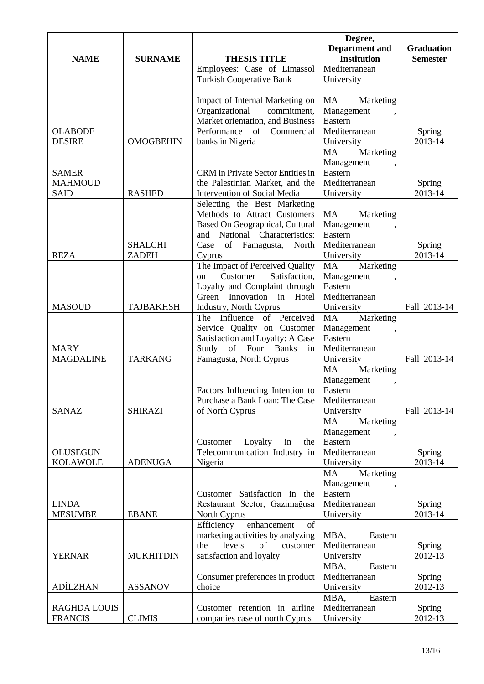|                                    |                  |                                                                   | Degree,<br><b>Department</b> and | <b>Graduation</b> |
|------------------------------------|------------------|-------------------------------------------------------------------|----------------------------------|-------------------|
| <b>NAME</b>                        | <b>SURNAME</b>   | <b>THESIS TITLE</b>                                               | <b>Institution</b>               | <b>Semester</b>   |
|                                    |                  | Employees: Case of Limassol                                       | Mediterranean                    |                   |
|                                    |                  | <b>Turkish Cooperative Bank</b>                                   | University                       |                   |
|                                    |                  | Impact of Internal Marketing on                                   | MA<br>Marketing                  |                   |
|                                    |                  | Organizational<br>commitment,                                     | Management                       |                   |
|                                    |                  | Market orientation, and Business                                  | Eastern                          |                   |
| <b>OLABODE</b>                     |                  | Performance<br>Commercial<br>of                                   | Mediterranean                    | Spring            |
| <b>DESIRE</b>                      | <b>OMOGBEHIN</b> | banks in Nigeria                                                  | University                       | 2013-14           |
|                                    |                  |                                                                   | <b>MA</b><br>Marketing           |                   |
|                                    |                  |                                                                   | Management                       |                   |
| <b>SAMER</b>                       |                  | CRM in Private Sector Entities in                                 | Eastern                          |                   |
| <b>MAHMOUD</b>                     |                  | the Palestinian Market, and the                                   | Mediterranean                    | Spring            |
| <b>SAID</b>                        | <b>RASHED</b>    | Intervention of Social Media                                      | University                       | 2013-14           |
|                                    |                  | Selecting the Best Marketing                                      |                                  |                   |
|                                    |                  | Methods to Attract Customers<br>Based On Geographical, Cultural   | MA<br>Marketing                  |                   |
|                                    |                  | and National Characteristics:                                     | Management<br>Eastern            |                   |
|                                    | <b>SHALCHI</b>   | Case of Famagusta, North                                          | Mediterranean                    | Spring            |
| <b>REZA</b>                        | <b>ZADEH</b>     | Cyprus                                                            | University                       | 2013-14           |
|                                    |                  | The Impact of Perceived Quality                                   | <b>MA</b><br>Marketing           |                   |
|                                    |                  | Customer<br>Satisfaction,<br>on                                   | Management                       |                   |
|                                    |                  | Loyalty and Complaint through                                     | Eastern                          |                   |
|                                    |                  | Innovation in Hotel<br>Green                                      | Mediterranean                    |                   |
| <b>MASOUD</b>                      | <b>TAJBAKHSH</b> | Industry, North Cyprus                                            | University                       | Fall 2013-14      |
|                                    |                  | The Influence of Perceived                                        | <b>MA</b><br>Marketing           |                   |
|                                    |                  | Service Quality on Customer                                       | Management                       |                   |
| <b>MARY</b>                        |                  | Satisfaction and Loyalty: A Case<br>Study of Four Banks<br>in     | Eastern<br>Mediterranean         |                   |
| <b>MAGDALINE</b>                   | <b>TARKANG</b>   | Famagusta, North Cyprus                                           | University                       | Fall 2013-14      |
|                                    |                  |                                                                   | Marketing<br><b>MA</b>           |                   |
|                                    |                  |                                                                   | Management                       |                   |
|                                    |                  | Factors Influencing Intention to                                  | Eastern                          |                   |
|                                    |                  | Purchase a Bank Loan: The Case                                    | Mediterranean                    |                   |
| <b>SANAZ</b>                       | <b>SHIRAZI</b>   | of North Cyprus                                                   | University                       | Fall 2013-14      |
|                                    |                  |                                                                   | Marketing<br>MA                  |                   |
|                                    |                  |                                                                   | Management                       |                   |
|                                    |                  | Loyalty<br>Customer<br>in<br>the<br>Telecommunication Industry in | Eastern<br>Mediterranean         |                   |
| <b>OLUSEGUN</b><br><b>KOLAWOLE</b> | <b>ADENUGA</b>   | Nigeria                                                           | University                       | Spring<br>2013-14 |
|                                    |                  |                                                                   | <b>MA</b><br>Marketing           |                   |
|                                    |                  |                                                                   | Management                       |                   |
|                                    |                  | Customer Satisfaction in the                                      | Eastern                          |                   |
| <b>LINDA</b>                       |                  | Restaurant Sector, Gazimağusa                                     | Mediterranean                    | Spring            |
| <b>MESUMBE</b>                     | <b>EBANE</b>     | North Cyprus                                                      | University                       | 2013-14           |
|                                    |                  | enhancement<br>Efficiency<br>of                                   |                                  |                   |
|                                    |                  | marketing activities by analyzing                                 | MBA,<br>Eastern                  |                   |
|                                    |                  | levels<br>of<br>the<br>customer                                   | Mediterranean                    | Spring            |
| <b>YERNAR</b>                      | <b>MUKHITDIN</b> | satisfaction and loyalty                                          | University<br>Eastern<br>MBA,    | 2012-13           |
|                                    |                  | Consumer preferences in product                                   | Mediterranean                    | Spring            |
| <b>ADİLZHAN</b>                    | <b>ASSANOV</b>   | choice                                                            | University                       | 2012-13           |
|                                    |                  |                                                                   | Eastern<br>MBA,                  |                   |
| <b>RAGHDA LOUIS</b>                |                  | Customer retention in airline                                     | Mediterranean                    | <b>Spring</b>     |
| <b>FRANCIS</b>                     | <b>CLIMIS</b>    | companies case of north Cyprus                                    | University                       | 2012-13           |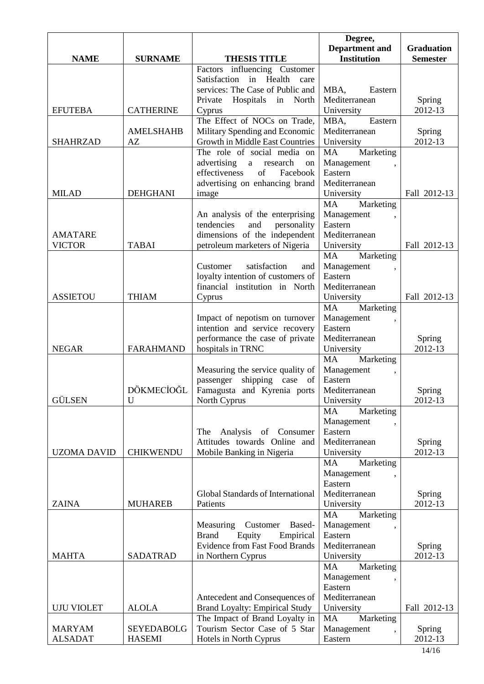|                    |                   |                                       | Degree,                |                   |
|--------------------|-------------------|---------------------------------------|------------------------|-------------------|
|                    |                   |                                       | <b>Department</b> and  | <b>Graduation</b> |
| <b>NAME</b>        | <b>SURNAME</b>    | <b>THESIS TITLE</b>                   | <b>Institution</b>     | <b>Semester</b>   |
|                    |                   | Factors influencing Customer          |                        |                   |
|                    |                   | Satisfaction in Health<br>care        |                        |                   |
|                    |                   | services: The Case of Public and      | MBA,<br>Eastern        |                   |
|                    |                   | Hospitals<br>North<br>Private<br>in   | Mediterranean          | Spring            |
| <b>EFUTEBA</b>     | <b>CATHERINE</b>  | Cyprus                                | University             | 2012-13           |
|                    |                   | The Effect of NOCs on Trade,          | Eastern<br>MBA.        |                   |
|                    | <b>AMELSHAHB</b>  | Military Spending and Economic        | Mediterranean          | Spring            |
| <b>SHAHRZAD</b>    | AZ                | Growth in Middle East Countries       | University             | 2012-13           |
|                    |                   | The role of social media on           | MA<br>Marketing        |                   |
|                    |                   | advertising<br>a research<br>on       | Management             |                   |
|                    |                   | effectiveness<br>of<br>Facebook       | Eastern                |                   |
|                    |                   | advertising on enhancing brand        | Mediterranean          |                   |
| <b>MILAD</b>       | <b>DEHGHANI</b>   | image                                 | University             | Fall 2012-13      |
|                    |                   |                                       | Marketing<br>MA        |                   |
|                    |                   | An analysis of the enterprising       | Management             |                   |
|                    |                   | tendencies<br>and<br>personality      | Eastern                |                   |
| <b>AMATARE</b>     |                   | dimensions of the independent         | Mediterranean          |                   |
| <b>VICTOR</b>      | <b>TABAI</b>      | petroleum marketers of Nigeria        | University             | Fall 2012-13      |
|                    |                   |                                       | Marketing<br>MA        |                   |
|                    |                   | satisfaction<br>Customer<br>and       | Management             |                   |
|                    |                   | loyalty intention of customers of     | Eastern                |                   |
|                    |                   | financial institution in North        | Mediterranean          |                   |
| <b>ASSIETOU</b>    | <b>THIAM</b>      |                                       |                        |                   |
|                    |                   | Cyprus                                | University             | Fall 2012-13      |
|                    |                   |                                       | MA<br>Marketing        |                   |
|                    |                   | Impact of nepotism on turnover        | Management             |                   |
|                    |                   | intention and service recovery        | Eastern                |                   |
|                    |                   | performance the case of private       | Mediterranean          | Spring            |
| <b>NEGAR</b>       | <b>FARAHMAND</b>  | hospitals in TRNC                     | University             | 2012-13           |
|                    |                   |                                       | Marketing<br>MA        |                   |
|                    |                   | Measuring the service quality of      | Management             |                   |
|                    |                   | shipping case of<br>passenger         | Eastern                |                   |
|                    | DÖKMECİOĞL        | Famagusta and Kyrenia ports           | Mediterranean          | Spring            |
| <b>GÜLSEN</b>      | U                 | North Cyprus                          | University             | 2012-13           |
|                    |                   |                                       | MA<br>Marketing        |                   |
|                    |                   |                                       | Management             |                   |
|                    |                   | Analysis of Consumer<br>The           | Eastern                |                   |
|                    |                   | Attitudes towards Online and          | Mediterranean          | <b>Spring</b>     |
| <b>UZOMA DAVID</b> | <b>CHIKWENDU</b>  | Mobile Banking in Nigeria             | University             | 2012-13           |
|                    |                   |                                       | Marketing<br>MA        |                   |
|                    |                   |                                       | Management             |                   |
|                    |                   |                                       | Eastern                |                   |
|                    |                   | Global Standards of International     | Mediterranean          | <b>Spring</b>     |
| <b>ZAINA</b>       | <b>MUHAREB</b>    | Patients                              | University             | 2012-13           |
|                    |                   |                                       | MA<br>Marketing        |                   |
|                    |                   | Based-<br>Measuring<br>Customer       | Management             |                   |
|                    |                   | Equity<br><b>Brand</b><br>Empirical   | Eastern                |                   |
|                    |                   | <b>Evidence from Fast Food Brands</b> | Mediterranean          | Spring            |
| <b>MAHTA</b>       | <b>SADATRAD</b>   | in Northern Cyprus                    | University             | 2012-13           |
|                    |                   |                                       | <b>MA</b><br>Marketing |                   |
|                    |                   |                                       | Management             |                   |
|                    |                   |                                       | Eastern                |                   |
|                    |                   | Antecedent and Consequences of        | Mediterranean          |                   |
| <b>UJU VIOLET</b>  | <b>ALOLA</b>      | <b>Brand Loyalty: Empirical Study</b> | University             | Fall 2012-13      |
|                    |                   | The Impact of Brand Loyalty in        | Marketing<br>MA        |                   |
| <b>MARYAM</b>      | <b>SEYEDABOLG</b> | Tourism Sector Case of 5 Star         | Management             | <b>Spring</b>     |
| <b>ALSADAT</b>     | <b>HASEMI</b>     | Hotels in North Cyprus                | Eastern                | 2012-13           |
|                    |                   |                                       |                        |                   |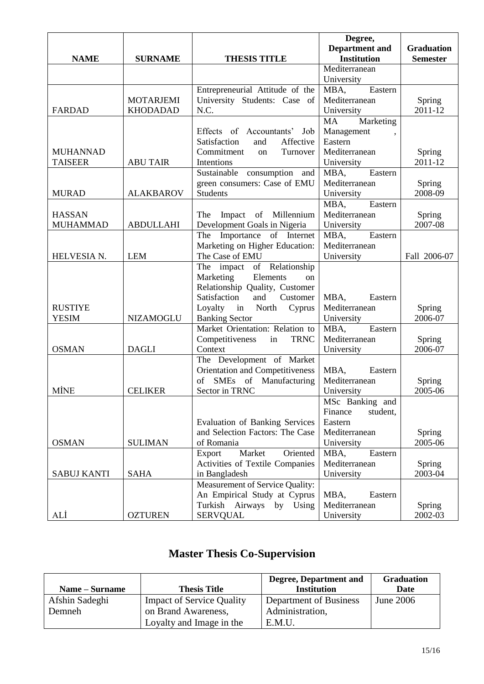|                    |                  |                                               | Degree,               |                   |
|--------------------|------------------|-----------------------------------------------|-----------------------|-------------------|
|                    |                  |                                               | <b>Department</b> and | <b>Graduation</b> |
| <b>NAME</b>        | <b>SURNAME</b>   | <b>THESIS TITLE</b>                           | <b>Institution</b>    | <b>Semester</b>   |
|                    |                  |                                               | Mediterranean         |                   |
|                    |                  |                                               | University            |                   |
|                    |                  | Entrepreneurial Attitude of the               | Eastern<br>MBA,       |                   |
|                    | <b>MOTARJEMI</b> | University Students: Case of                  | Mediterranean         | Spring            |
| <b>FARDAD</b>      | <b>KHODADAD</b>  | N.C.                                          | University            | 2011-12           |
|                    |                  |                                               | Marketing<br>MA       |                   |
|                    |                  | Effects of Accountants'<br>Job                | Management            |                   |
|                    |                  | Satisfaction<br>Affective<br>and              | Eastern               |                   |
| <b>MUHANNAD</b>    |                  | Commitment<br>Turnover<br>on                  | Mediterranean         | Spring            |
| <b>TAISEER</b>     | <b>ABU TAIR</b>  | Intentions                                    | University            | 2011-12           |
|                    |                  | Sustainable consumption and                   | Eastern<br>MBA,       |                   |
|                    |                  | green consumers: Case of EMU                  | Mediterranean         | Spring            |
| <b>MURAD</b>       | <b>ALAKBAROV</b> | <b>Students</b>                               | University            | 2008-09           |
|                    |                  |                                               | MBA,<br>Eastern       |                   |
| <b>HASSAN</b>      |                  | Impact of Millennium<br>The                   | Mediterranean         | Spring            |
| <b>MUHAMMAD</b>    | <b>ABDULLAHI</b> | Development Goals in Nigeria                  | University            | 2007-08           |
|                    |                  | The Importance of Internet                    | Eastern<br>MBA,       |                   |
|                    |                  | Marketing on Higher Education:                | Mediterranean         |                   |
| HELVESIA N.        | <b>LEM</b>       | The Case of EMU                               | University            | Fall 2006-07      |
|                    |                  | $\overline{of}$ Relationship<br>impact<br>The |                       |                   |
|                    |                  | Elements<br>Marketing<br>on                   |                       |                   |
|                    |                  | Relationship Quality, Customer                |                       |                   |
|                    |                  | Satisfaction<br>and<br>Customer               | MBA,<br>Eastern       |                   |
| <b>RUSTIYE</b>     |                  | North<br>Loyalty in<br>Cyprus                 | Mediterranean         | Spring            |
| <b>YESIM</b>       | <b>NIZAMOGLU</b> | <b>Banking Sector</b>                         | University            | 2006-07           |
|                    |                  | Market Orientation: Relation to               | Eastern<br>MBA,       |                   |
|                    |                  | in<br><b>TRNC</b><br>Competitiveness          | Mediterranean         | Spring            |
| <b>OSMAN</b>       | <b>DAGLI</b>     | Context                                       | University            | 2006-07           |
|                    |                  | The Development of Market                     |                       |                   |
|                    |                  | Orientation and Competitiveness               | MBA,<br>Eastern       |                   |
|                    |                  | SMEs of Manufacturing<br>of                   | Mediterranean         | Spring            |
| <b>MİNE</b>        | <b>CELIKER</b>   | Sector in TRNC                                | University            | 2005-06           |
|                    |                  |                                               | MSc Banking and       |                   |
|                    |                  |                                               | Finance<br>student,   |                   |
|                    |                  | <b>Evaluation of Banking Services</b>         | Eastern               |                   |
|                    |                  | and Selection Factors: The Case               | Mediterranean         | Spring            |
| <b>OSMAN</b>       | <b>SULIMAN</b>   | of Romania                                    | University            | 2005-06           |
|                    |                  | Market<br>Oriented<br>Export                  | Eastern<br>MBA,       |                   |
|                    |                  | Activities of Textile Companies               | Mediterranean         | Spring            |
| <b>SABUJ KANTI</b> | <b>SAHA</b>      | in Bangladesh                                 | University            | 2003-04           |
|                    |                  | <b>Measurement of Service Quality:</b>        |                       |                   |
|                    |                  | An Empirical Study at Cyprus                  | MBA,<br>Eastern       |                   |
|                    |                  | Turkish Airways<br>by<br>Using                | Mediterranean         | Spring            |
| ALİ                | <b>OZTUREN</b>   | <b>SERVQUAL</b>                               | University            | 2002-03           |

## **Master Thesis Co-Supervision**

|                |                                  | <b>Degree, Department and</b> | <b>Graduation</b> |
|----------------|----------------------------------|-------------------------------|-------------------|
| Name – Surname | <b>Thesis Title</b>              | <b>Institution</b>            | Date              |
| Afshin Sadeghi | <b>Impact of Service Quality</b> | Department of Business        | <b>June 2006</b>  |
| Demneh         | on Brand Awareness,              | Administration,               |                   |
|                | Loyalty and Image in the         | E.M.U                         |                   |